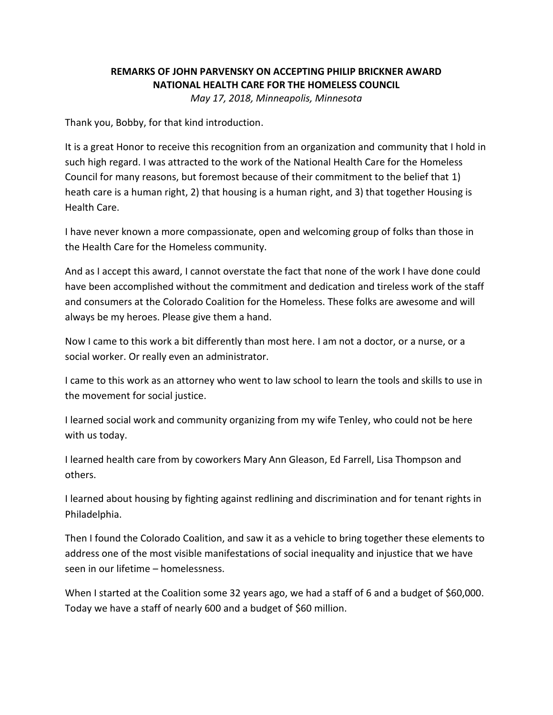## **REMARKS OF JOHN PARVENSKY ON ACCEPTING PHILIP BRICKNER AWARD NATIONAL HEALTH CARE FOR THE HOMELESS COUNCIL** *May 17, 2018, Minneapolis, Minnesota*

Thank you, Bobby, for that kind introduction.

It is a great Honor to receive this recognition from an organization and community that I hold in such high regard. I was attracted to the work of the National Health Care for the Homeless Council for many reasons, but foremost because of their commitment to the belief that 1) heath care is a human right, 2) that housing is a human right, and 3) that together Housing is Health Care.

I have never known a more compassionate, open and welcoming group of folks than those in the Health Care for the Homeless community.

And as I accept this award, I cannot overstate the fact that none of the work I have done could have been accomplished without the commitment and dedication and tireless work of the staff and consumers at the Colorado Coalition for the Homeless. These folks are awesome and will always be my heroes. Please give them a hand.

Now I came to this work a bit differently than most here. I am not a doctor, or a nurse, or a social worker. Or really even an administrator.

I came to this work as an attorney who went to law school to learn the tools and skills to use in the movement for social justice.

I learned social work and community organizing from my wife Tenley, who could not be here with us today.

I learned health care from by coworkers Mary Ann Gleason, Ed Farrell, Lisa Thompson and others.

I learned about housing by fighting against redlining and discrimination and for tenant rights in Philadelphia.

Then I found the Colorado Coalition, and saw it as a vehicle to bring together these elements to address one of the most visible manifestations of social inequality and injustice that we have seen in our lifetime – homelessness.

When I started at the Coalition some 32 years ago, we had a staff of 6 and a budget of \$60,000. Today we have a staff of nearly 600 and a budget of \$60 million.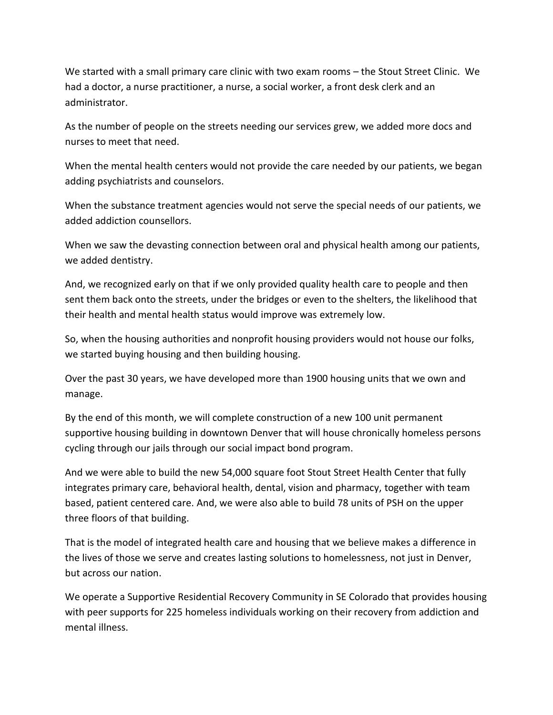We started with a small primary care clinic with two exam rooms – the Stout Street Clinic. We had a doctor, a nurse practitioner, a nurse, a social worker, a front desk clerk and an administrator.

As the number of people on the streets needing our services grew, we added more docs and nurses to meet that need.

When the mental health centers would not provide the care needed by our patients, we began adding psychiatrists and counselors.

When the substance treatment agencies would not serve the special needs of our patients, we added addiction counsellors.

When we saw the devasting connection between oral and physical health among our patients, we added dentistry.

And, we recognized early on that if we only provided quality health care to people and then sent them back onto the streets, under the bridges or even to the shelters, the likelihood that their health and mental health status would improve was extremely low.

So, when the housing authorities and nonprofit housing providers would not house our folks, we started buying housing and then building housing.

Over the past 30 years, we have developed more than 1900 housing units that we own and manage.

By the end of this month, we will complete construction of a new 100 unit permanent supportive housing building in downtown Denver that will house chronically homeless persons cycling through our jails through our social impact bond program.

And we were able to build the new 54,000 square foot Stout Street Health Center that fully integrates primary care, behavioral health, dental, vision and pharmacy, together with team based, patient centered care. And, we were also able to build 78 units of PSH on the upper three floors of that building.

That is the model of integrated health care and housing that we believe makes a difference in the lives of those we serve and creates lasting solutions to homelessness, not just in Denver, but across our nation.

We operate a Supportive Residential Recovery Community in SE Colorado that provides housing with peer supports for 225 homeless individuals working on their recovery from addiction and mental illness.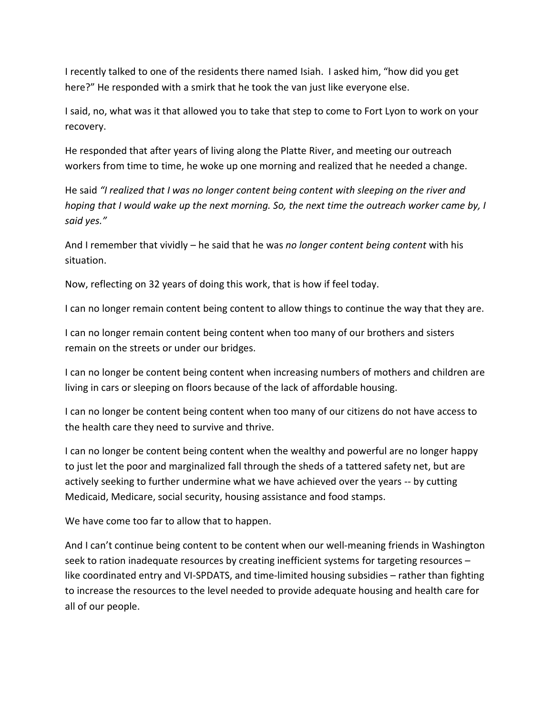I recently talked to one of the residents there named Isiah. I asked him, "how did you get here?" He responded with a smirk that he took the van just like everyone else.

I said, no, what was it that allowed you to take that step to come to Fort Lyon to work on your recovery.

He responded that after years of living along the Platte River, and meeting our outreach workers from time to time, he woke up one morning and realized that he needed a change.

He said *"I realized that I was no longer content being content with sleeping on the river and hoping that I would wake up the next morning. So, the next time the outreach worker came by, I said yes."*

And I remember that vividly – he said that he was *no longer content being content* with his situation.

Now, reflecting on 32 years of doing this work, that is how if feel today.

I can no longer remain content being content to allow things to continue the way that they are.

I can no longer remain content being content when too many of our brothers and sisters remain on the streets or under our bridges.

I can no longer be content being content when increasing numbers of mothers and children are living in cars or sleeping on floors because of the lack of affordable housing.

I can no longer be content being content when too many of our citizens do not have access to the health care they need to survive and thrive.

I can no longer be content being content when the wealthy and powerful are no longer happy to just let the poor and marginalized fall through the sheds of a tattered safety net, but are actively seeking to further undermine what we have achieved over the years -- by cutting Medicaid, Medicare, social security, housing assistance and food stamps.

We have come too far to allow that to happen.

And I can't continue being content to be content when our well-meaning friends in Washington seek to ration inadequate resources by creating inefficient systems for targeting resources – like coordinated entry and VI-SPDATS, and time-limited housing subsidies – rather than fighting to increase the resources to the level needed to provide adequate housing and health care for all of our people.